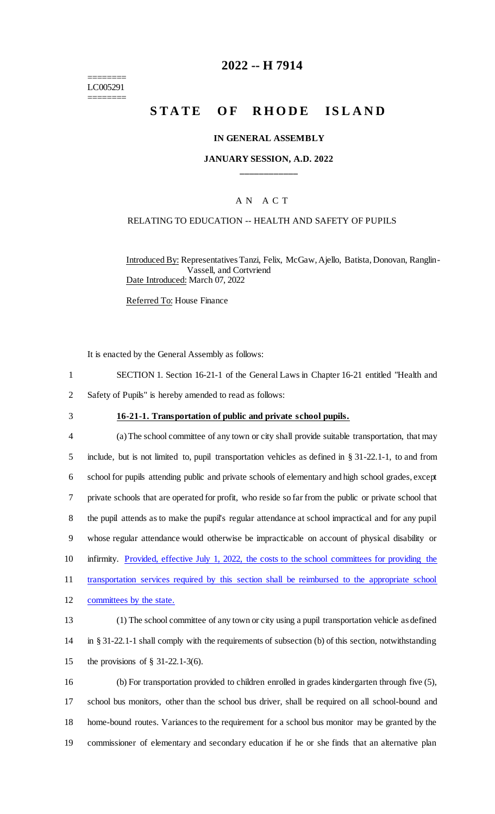======== LC005291 ========

# **2022 -- H 7914**

# **STATE OF RHODE ISLAND**

#### **IN GENERAL ASSEMBLY**

## **JANUARY SESSION, A.D. 2022 \_\_\_\_\_\_\_\_\_\_\_\_**

### A N A C T

#### RELATING TO EDUCATION -- HEALTH AND SAFETY OF PUPILS

Introduced By: Representatives Tanzi, Felix, McGaw, Ajello, Batista, Donovan, Ranglin-Vassell, and Cortvriend Date Introduced: March 07, 2022

Referred To: House Finance

It is enacted by the General Assembly as follows:

- 1 SECTION 1. Section 16-21-1 of the General Laws in Chapter 16-21 entitled "Health and
- 2 Safety of Pupils" is hereby amended to read as follows:
- 

#### 3 **16-21-1. Transportation of public and private school pupils.**

 (a) The school committee of any town or city shall provide suitable transportation, that may include, but is not limited to, pupil transportation vehicles as defined in § 31-22.1-1, to and from school for pupils attending public and private schools of elementary and high school grades, except private schools that are operated for profit, who reside so far from the public or private school that the pupil attends as to make the pupil's regular attendance at school impractical and for any pupil whose regular attendance would otherwise be impracticable on account of physical disability or 10 infirmity. Provided, effective July 1, 2022, the costs to the school committees for providing the 11 transportation services required by this section shall be reimbursed to the appropriate school 12 committees by the state. (1) The school committee of any town or city using a pupil transportation vehicle as defined

14 in § 31-22.1-1 shall comply with the requirements of subsection (b) of this section, notwithstanding 15 the provisions of § 31-22.1-3(6).

 (b) For transportation provided to children enrolled in grades kindergarten through five (5), school bus monitors, other than the school bus driver, shall be required on all school-bound and home-bound routes. Variances to the requirement for a school bus monitor may be granted by the commissioner of elementary and secondary education if he or she finds that an alternative plan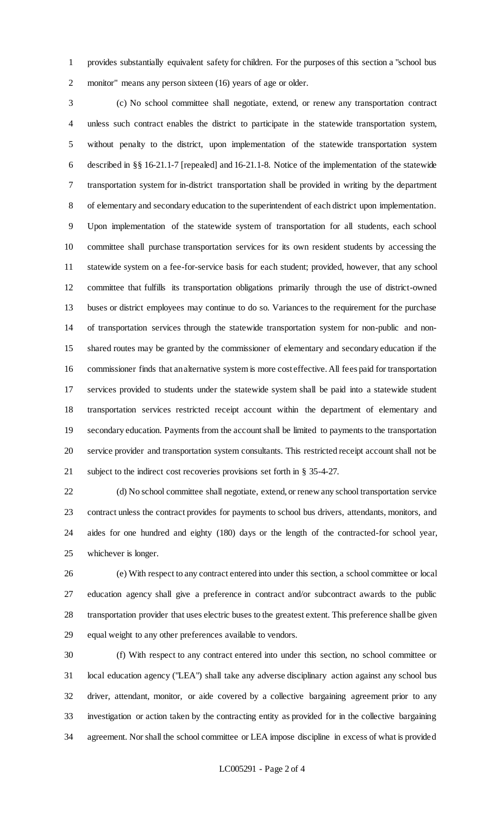provides substantially equivalent safety for children. For the purposes of this section a "school bus monitor" means any person sixteen (16) years of age or older.

 (c) No school committee shall negotiate, extend, or renew any transportation contract unless such contract enables the district to participate in the statewide transportation system, without penalty to the district, upon implementation of the statewide transportation system described in §§ 16-21.1-7 [repealed] and 16-21.1-8. Notice of the implementation of the statewide transportation system for in-district transportation shall be provided in writing by the department of elementary and secondary education to the superintendent of each district upon implementation. Upon implementation of the statewide system of transportation for all students, each school committee shall purchase transportation services for its own resident students by accessing the statewide system on a fee-for-service basis for each student; provided, however, that any school committee that fulfills its transportation obligations primarily through the use of district-owned buses or district employees may continue to do so. Variances to the requirement for the purchase of transportation services through the statewide transportation system for non-public and non- shared routes may be granted by the commissioner of elementary and secondary education if the commissioner finds that an alternative system is more cost effective. All fees paid for transportation services provided to students under the statewide system shall be paid into a statewide student transportation services restricted receipt account within the department of elementary and secondary education. Payments from the account shall be limited to payments to the transportation service provider and transportation system consultants. This restricted receipt account shall not be subject to the indirect cost recoveries provisions set forth in § 35-4-27.

 (d) No school committee shall negotiate, extend, or renew any school transportation service contract unless the contract provides for payments to school bus drivers, attendants, monitors, and aides for one hundred and eighty (180) days or the length of the contracted-for school year, whichever is longer.

 (e) With respect to any contract entered into under this section, a school committee or local education agency shall give a preference in contract and/or subcontract awards to the public transportation provider that uses electric buses to the greatest extent. This preference shall be given equal weight to any other preferences available to vendors.

 (f) With respect to any contract entered into under this section, no school committee or local education agency ("LEA") shall take any adverse disciplinary action against any school bus driver, attendant, monitor, or aide covered by a collective bargaining agreement prior to any investigation or action taken by the contracting entity as provided for in the collective bargaining agreement. Nor shall the school committee or LEA impose discipline in excess of what is provided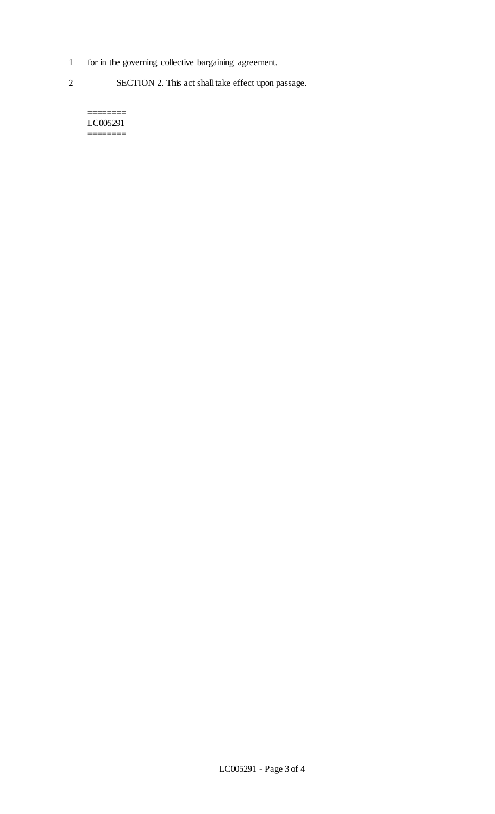- 1 for in the governing collective bargaining agreement.
- 2 SECTION 2. This act shall take effect upon passage.

======== LC005291 ========